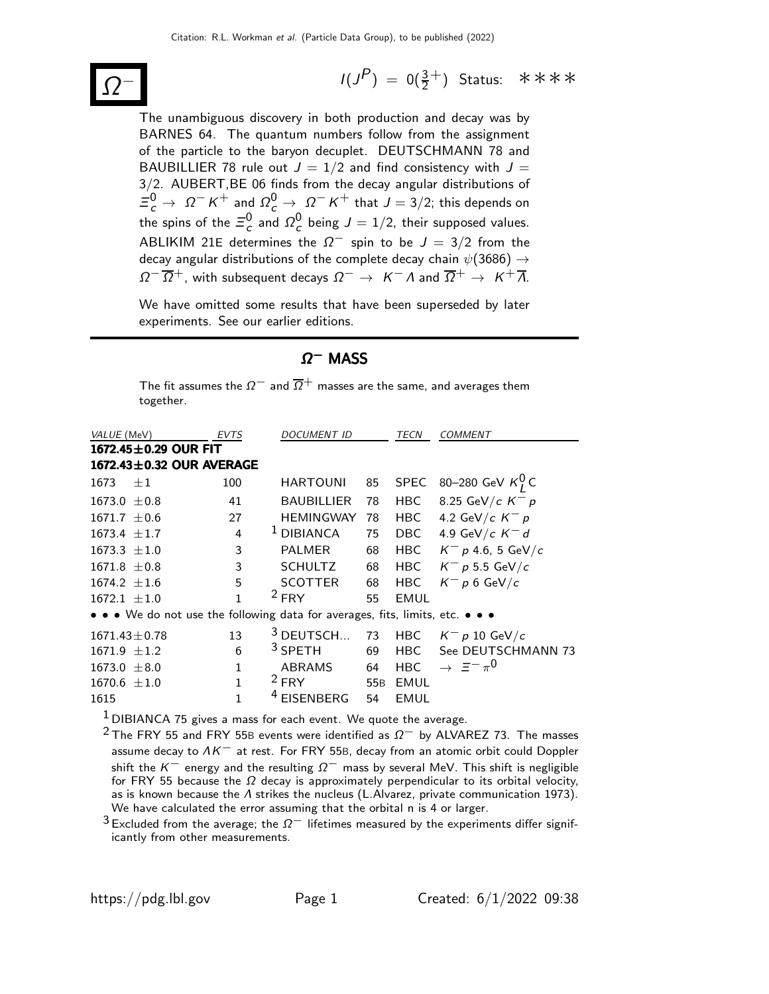

 $(P)$  = 0( $\frac{3}{2}$ <sup>+</sup>) Status: \*\*\*\*

The unambiguous discovery in both production and decay was by BARNES 64. The quantum numbers follow from the assignment of the particle to the baryon decuplet. DEUTSCHMANN 78 and BAUBILLIER 78 rule out  $J = 1/2$  and find consistency with  $J =$ 3/2. AUBERT,BE 06 finds from the decay angular distributions of  $\Xi_c^0 \rightarrow \Omega^- K^+$  and  $\Omega_c^0 \rightarrow \Omega^- K^+$  that  $J=3/2$ ; this depends on the spins of the  $\Xi_c^0$  and  $\Omega_c^0$  being  $J=1/2$ , their supposed values. ABLIKIM 21E determines the  $\Omega^{-}$  spin to be  $J = 3/2$  from the decay angular distributions of the complete decay chain  $\psi(3686) \rightarrow$  $\Omega^{-}$   $\overline{\Omega}^{+}$ , with subsequent decays  $\Omega^{-} \rightarrow K^{-}$   $\Lambda$  and  $\overline{\Omega}^{+} \rightarrow K^{+} \overline{\Lambda}$ .

We have omitted some results that have been superseded by later experiments. See our earlier editions.

#### $Ω<sup>-</sup>$  MASS

The fit assumes the  $\Omega^-$  and  $\overline{\Omega}$  masses are the same, and averages them together.

| VALUE (MeV)                                                                                                           | EVTS           | DOCUMENT ID                                                        |                 | TECN        | <b>COMMENT</b>                             |  |  |  |
|-----------------------------------------------------------------------------------------------------------------------|----------------|--------------------------------------------------------------------|-----------------|-------------|--------------------------------------------|--|--|--|
| 1672.45 $\pm$ 0.29 OUR FIT                                                                                            |                |                                                                    |                 |             |                                            |  |  |  |
| 1672.43±0.32 OUR AVERAGE                                                                                              |                |                                                                    |                 |             |                                            |  |  |  |
| 1673<br>$+1$                                                                                                          | 100            | <b>HARTOUNI</b>                                                    | 85              |             | SPEC 80-280 GeV $K_I^0$ C                  |  |  |  |
| 1673.0 $\pm$ 0.8                                                                                                      | 41             | <b>BAUBILLIER</b>                                                  | 78              | HBC         | 8.25 GeV/c $K^- p$                         |  |  |  |
| $1671.7 \pm 0.6$                                                                                                      | 27             | <b>HEMINGWAY</b>                                                   | 78              | HBC         | 4.2 GeV/c $K^- p$                          |  |  |  |
| $1673.4 \pm 1.7$                                                                                                      | $\overline{4}$ | $1$ DIBIANCA                                                       | 75              | DBC         | 4.9 GeV/c $K^-$ d                          |  |  |  |
| $1673.3 \pm 1.0$                                                                                                      | 3              | <b>PALMER</b>                                                      | 68              | <b>HBC</b>  | $K^- p$ 4.6, 5 GeV/c                       |  |  |  |
| $1671.8 \pm 0.8$                                                                                                      | 3              | <b>SCHULTZ</b>                                                     | 68              | HBC.        | $K^-$ p 5.5 GeV/c                          |  |  |  |
| $1674.2 \pm 1.6$                                                                                                      | 5              | <b>SCOTTER</b>                                                     | 68              | <b>HBC</b>  | $K^- p 6 \text{ GeV}/c$                    |  |  |  |
| $1672.1 \pm 1.0$                                                                                                      |                | $2$ FRY                                                            | 55              | <b>EMUL</b> |                                            |  |  |  |
| $\bullet \bullet \bullet$ We do not use the following data for averages, fits, limits, etc. $\bullet \bullet \bullet$ |                |                                                                    |                 |             |                                            |  |  |  |
| $1671.43 \pm 0.78$                                                                                                    | 13             | $3$ DEUTSCH                                                        | 73              | HBC         | $K^- p 10 \text{ GeV}/c$                   |  |  |  |
| $1671.9 \pm 1.2$                                                                                                      | 6              | $3$ SPETH                                                          | 69              | <b>HBC</b>  | See DEUTSCHMANN 73                         |  |  |  |
| $1673.0 \pm 8.0$                                                                                                      | $\mathbf{1}$   | <b>ABRAMS</b>                                                      | 64              | <b>HBC</b>  | $\rightarrow$ $\equiv$ $-\pi$ <sup>0</sup> |  |  |  |
| $1670.6 \pm 1.0$                                                                                                      | $\mathbf{1}$   | $2$ FRY                                                            | 55 <sub>B</sub> | <b>EMUL</b> |                                            |  |  |  |
| 1615                                                                                                                  | 1              | <sup>4</sup> EISENBERG                                             | 54              | <b>EMUL</b> |                                            |  |  |  |
|                                                                                                                       |                | $1$ DIBIANCA 75 gives a mass for each event. We quote the average. |                 |             |                                            |  |  |  |

<sup>2</sup> The FRY 55 and FRY 55B events were identified as  $\Omega^-$  by ALVAREZ 73. The masses assume decay to  $\Lambda K^-$  at rest. For FRY 55B, decay from an atomic orbit could Doppler shift the K<sup>-</sup> energy and the resulting  $\Omega^-$  mass by several MeV. This shift is negligible for FRY 55 because the  $\Omega$  decay is approximately perpendicular to its orbital velocity, as is known because the  $\Lambda$  strikes the nucleus (L.Alvarez, private communication 1973). We have calculated the error assuming that the orbital n is 4 or larger.

 $3$  Excluded from the average; the  $\Omega^-$  lifetimes measured by the experiments differ significantly from other measurements.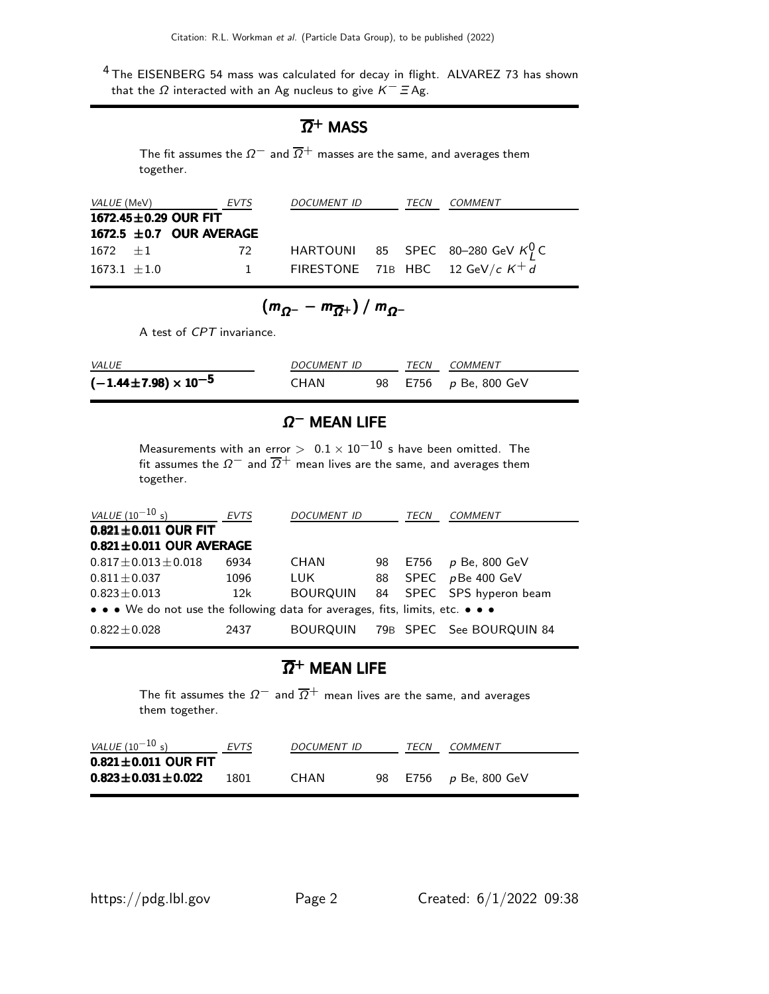4 The EISENBERG 54 mass was calculated for decay in flight. ALVAREZ 73 has shown that the  $Ω$  interacted with an Ag nucleus to give  $K^- \equiv$  Ag.

#### $\overline{\Omega}{}^+$  Mass

The fit assumes the  $\Omega^-$  and  $\overline{\Omega}^+$  masses are the same, and averages them together.

|                  | VALUE (MeV) EVTS             |              | DOCUMENT ID | TECN | COMMENT                               |
|------------------|------------------------------|--------------|-------------|------|---------------------------------------|
|                  | 1672.45 $\pm$ 0.29 OUR FIT   |              |             |      |                                       |
|                  | $1672.5 \pm 0.7$ OUR AVERAGE |              |             |      |                                       |
| $1672 + 1$       |                              | 72           |             |      | HARTOUNI 85 SPEC 80-280 GeV $K_l^0$ C |
| $1673.1 \pm 1.0$ |                              | $\mathbf{1}$ |             |      | FIRESTONE 71B HBC 12 GeV/c $K^+d$     |

$$
(m_{\Omega^-}-m_{\overline{\Omega}^+})/m_{\Omega^-}
$$

A test of CPT invariance.

| <i>VALUE</i>                      | <i>DOCUMENT ID</i> | TECN |  | COMMENT               |
|-----------------------------------|--------------------|------|--|-----------------------|
| $(-1.44 \pm 7.98) \times 10^{-5}$ | CHAN               |      |  | 98 E756 p Be, 800 GeV |

## $\Omega^-$  MEAN LIFE

Measurements with an error  $> 0.1 \times 10^{-10}$  s have been omitted. The fit assumes the  $\Omega^-$  and  $\overline{\Omega}^+$  mean lives are the same, and averages them together.

| <i>VALUE</i> (10 <sup>-10</sup> s)                                            | <b>EVTS</b> | <b>DOCUMENT ID</b> |    | TECN | <b>COMMENT</b>           |  |
|-------------------------------------------------------------------------------|-------------|--------------------|----|------|--------------------------|--|
| $0.821 \pm 0.011$ OUR FIT                                                     |             |                    |    |      |                          |  |
| $0.821 \pm 0.011$ OUR AVERAGE                                                 |             |                    |    |      |                          |  |
| $0.817 \pm 0.013 \pm 0.018$                                                   | 6934        | CHAN               | 98 | E756 | <i>p</i> Be, 800 GeV     |  |
| $0.811 \pm 0.037$                                                             | 1096        | LUK.               | 88 |      | SPEC $p$ Be 400 GeV      |  |
| $0.823 \pm 0.013$                                                             | 12k         | BOURQUIN           |    |      | 84 SPEC SPS hyperon beam |  |
| • • • We do not use the following data for averages, fits, limits, etc. • • • |             |                    |    |      |                          |  |
| $0.822 \pm 0.028$                                                             | 2437        | <b>BOURQUIN</b>    |    |      | 79B SPEC See BOURQUIN 84 |  |

#### $\overline{\Omega}{}^+$  mean life

The fit assumes the  $\Omega^-$  and  $\overline{\Omega}^+$  mean lives are the same, and averages them together.

| <i>VALUE</i> $(10^{-10} s)$ | <b>EVTS</b> | <b>DOCUMENT ID</b> |     | TECN | <i>COMMENT</i>            |
|-----------------------------|-------------|--------------------|-----|------|---------------------------|
| $0.821 \pm 0.011$ OUR FIT   |             |                    |     |      |                           |
| $0.823 \pm 0.031 \pm 0.022$ | 1801        | CHAN               | 98. |      | E756 <i>p</i> Be, 800 GeV |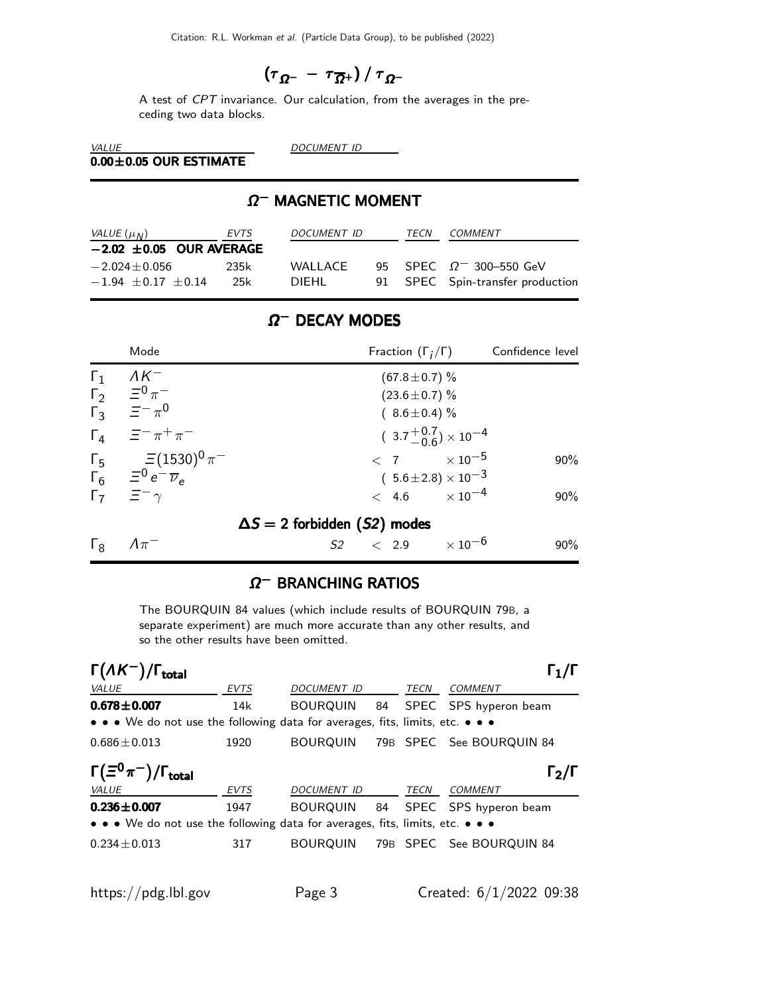$$
\left(\tau_{\,\Omega^-\,}-\,\tau_{\,\overline{\Omega}^+}\right)/\,\tau_{\,\Omega^-}
$$

A test of CPT invariance. Our calculation, from the averages in the preceding two data blocks.

VALUE DOCUMENT ID  $0.00\pm0.05$  OUR ESTIMATE

## $\Omega^-$  MAGNETIC MOMENT

| VALUE $(\mu_N)$       | EVTS                         | DOCUMENT ID | <b>TFCN</b> | <i>COMMENT</i>                   |
|-----------------------|------------------------------|-------------|-------------|----------------------------------|
|                       | $-2.02 \pm 0.05$ OUR AVERAGE |             |             |                                  |
| $-2.024 + 0.056$      | 235k                         | WAI LACE    |             | 95 SPEC $\Omega$ 300-550 GeV     |
| $-1.94 + 0.17 + 0.14$ | 25k                          | DIEHL.      |             | 91 SPEC Spin-transfer production |

## $\Omega^-$  DECAY MODES

|              | Mode                                                        | Fraction $(\Gamma_i/\Gamma)$         | Confidence level |
|--------------|-------------------------------------------------------------|--------------------------------------|------------------|
| $\Gamma_1$   | $\Lambda K^-$                                               | $(67.8 \pm 0.7)$ %                   |                  |
|              | $\Gamma_2 = \Xi^0 \pi^-$                                    | $(23.6 \pm 0.7)$ %                   |                  |
|              | $\overline{\Gamma_3}$ $\overline{\Xi}^- \pi^0$              | $(8.6 \pm 0.4)\%$                    |                  |
|              | $\Gamma_4$ $\equiv$ $\pi^+ \pi^-$                           | $(3.7^{+0.7}_{-0.6}) \times 10^{-4}$ |                  |
|              | $\Gamma_5 = (1530)^0 \pi^-$                                 | $\langle 7 \times 10^{-5}$           | $90\%$           |
|              | $\overline{\Gamma_6}$ $\overline{z}^0 e^- \overline{\nu}_e$ | $(5.6 \pm 2.8) \times 10^{-3}$       |                  |
|              | $\Gamma_7 \quad \Xi^- \gamma$                               | $< 4.6 \times 10^{-4}$               | $90\%$           |
|              |                                                             | $\Delta S = 2$ forbidden (S2) modes  |                  |
| $\Gamma_{8}$ | $\Lambda \pi^-$                                             | $S2 \t < 2.9 \t \times 10^{-6}$      | $90\%$           |

## $\Omega^-$  BRANCHING RATIOS

The BOURQUIN 84 values (which include results of BOURQUIN 79B, a separate experiment) are much more accurate than any other results, and so the other results have been omitted.

| $\Gamma(\Lambda K^-)/\Gamma_{\rm total}$                                      |      |                    |  |      |                                   |
|-------------------------------------------------------------------------------|------|--------------------|--|------|-----------------------------------|
| VALUE                                                                         | EVTS | <b>DOCUMENT ID</b> |  | TECN | <b>COMMENT</b>                    |
| $0.678 \pm 0.007$                                                             | 14k  | BOURQUIN 84        |  |      | SPEC SPS hyperon beam             |
| • • • We do not use the following data for averages, fits, limits, etc. • • • |      |                    |  |      |                                   |
| $0.686 \pm 0.013$                                                             | 1920 |                    |  |      | BOURQUIN 79B SPEC See BOURQUIN 84 |
| $\Gamma_2/\Gamma$                                                             |      |                    |  |      |                                   |
| $\Gamma(\Xi^0\pi^-)/\Gamma_{\rm total}$                                       |      |                    |  |      |                                   |
| VALUE                                                                         | EVTS | DOCUMENT ID        |  | TECN | <b>COMMENT</b>                    |
| $0.236 \pm 0.007$                                                             | 1947 |                    |  |      | BOURQUIN 84 SPEC SPS hyperon beam |
| • • • We do not use the following data for averages, fits, limits, etc. • • • |      |                    |  |      |                                   |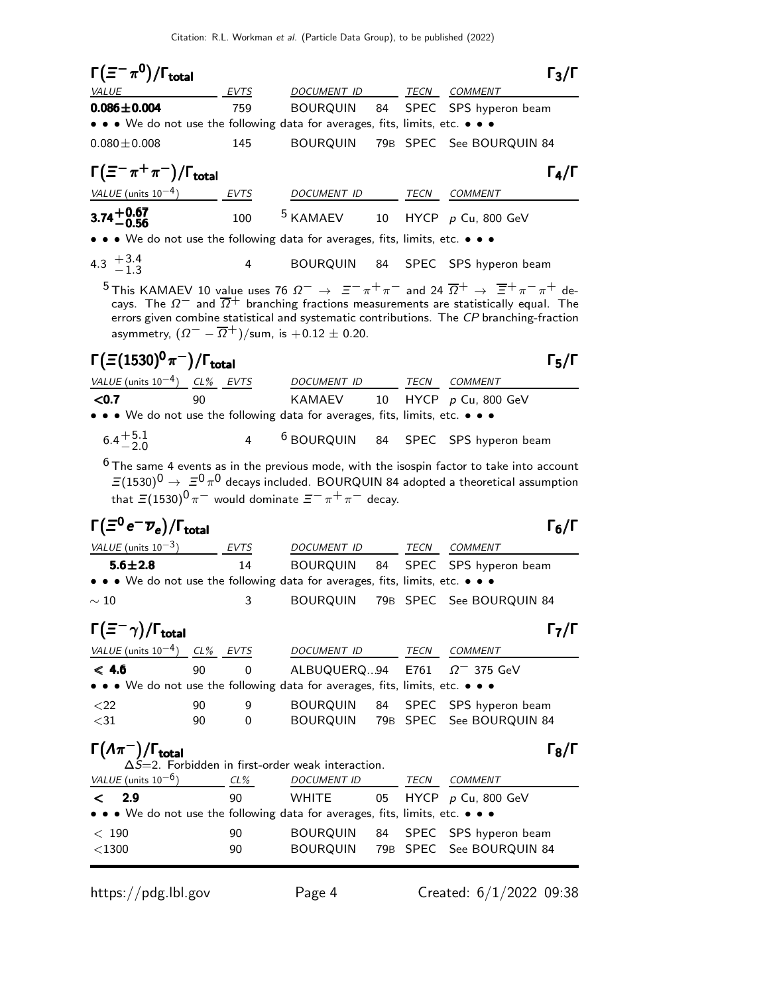| TECN COMMENT<br><b>VALUE</b><br>DOCUMENT ID<br>EVTS<br>$0.086 \pm 0.004$<br><b>BOURQUIN</b><br>SPEC SPS hyperon beam<br>759<br>84<br>• • • We do not use the following data for averages, fits, limits, etc. • • •<br>$0.080 \pm 0.008$<br>145<br><b>BOURQUIN</b><br>79B SPEC See BOURQUIN 84<br>$\Gamma(\equiv^-\pi^+\pi^-)/\Gamma_{\rm total}$<br>$\Gamma_4/\Gamma$<br>$VALUE$ (units $10^{-4}$ ) EVTS<br>DOCUMENT ID TECN COMMENT<br>$3.74 + 0.67$<br>-0.56<br>$5$ KAMAEV 10 HYCP p Cu, 800 GeV<br>100<br>• • • We do not use the following data for averages, fits, limits, etc. • • •<br>4.3 $+3.4$<br>-1.3<br>BOURQUIN 84 SPEC SPS hyperon beam<br>4<br>$^5$ This KAMAEV 10 value uses 76 $\Omega^- \to \Xi^- \pi^+ \pi^-$ and 24 $\overline{\Omega}^+ \to \overline{\Xi}^+ \pi^- \pi^+$ de-<br>cays. The $\Omega^-$ and $\overline{\Omega}^+$ branching fractions measurements are statistically equal. The<br>errors given combine statistical and systematic contributions. The CP branching-fraction<br>asymmetry, $(\Omega^{-} - \overline{\Omega}^{+})$ /sum, is $+0.12 \pm 0.20$ .<br>$\Gamma(\Xi(1530)^{0}\pi^{-})/\Gamma_{\rm total}$<br>$\Gamma_5/\Gamma$<br>$VALUE$ (units $10^{-4}$ ) CL% EVTS<br>DOCUMENT ID<br>TECN COMMENT<br>KAMAEV<br>$0.7$<br>90<br>10 HYCP p Cu, 800 GeV<br>• • We do not use the following data for averages, fits, limits, etc. • • • |
|----------------------------------------------------------------------------------------------------------------------------------------------------------------------------------------------------------------------------------------------------------------------------------------------------------------------------------------------------------------------------------------------------------------------------------------------------------------------------------------------------------------------------------------------------------------------------------------------------------------------------------------------------------------------------------------------------------------------------------------------------------------------------------------------------------------------------------------------------------------------------------------------------------------------------------------------------------------------------------------------------------------------------------------------------------------------------------------------------------------------------------------------------------------------------------------------------------------------------------------------------------------------------------------------------------------------------------------------------------------------------------|
|                                                                                                                                                                                                                                                                                                                                                                                                                                                                                                                                                                                                                                                                                                                                                                                                                                                                                                                                                                                                                                                                                                                                                                                                                                                                                                                                                                                  |
|                                                                                                                                                                                                                                                                                                                                                                                                                                                                                                                                                                                                                                                                                                                                                                                                                                                                                                                                                                                                                                                                                                                                                                                                                                                                                                                                                                                  |
|                                                                                                                                                                                                                                                                                                                                                                                                                                                                                                                                                                                                                                                                                                                                                                                                                                                                                                                                                                                                                                                                                                                                                                                                                                                                                                                                                                                  |
|                                                                                                                                                                                                                                                                                                                                                                                                                                                                                                                                                                                                                                                                                                                                                                                                                                                                                                                                                                                                                                                                                                                                                                                                                                                                                                                                                                                  |
|                                                                                                                                                                                                                                                                                                                                                                                                                                                                                                                                                                                                                                                                                                                                                                                                                                                                                                                                                                                                                                                                                                                                                                                                                                                                                                                                                                                  |
|                                                                                                                                                                                                                                                                                                                                                                                                                                                                                                                                                                                                                                                                                                                                                                                                                                                                                                                                                                                                                                                                                                                                                                                                                                                                                                                                                                                  |
|                                                                                                                                                                                                                                                                                                                                                                                                                                                                                                                                                                                                                                                                                                                                                                                                                                                                                                                                                                                                                                                                                                                                                                                                                                                                                                                                                                                  |
|                                                                                                                                                                                                                                                                                                                                                                                                                                                                                                                                                                                                                                                                                                                                                                                                                                                                                                                                                                                                                                                                                                                                                                                                                                                                                                                                                                                  |
|                                                                                                                                                                                                                                                                                                                                                                                                                                                                                                                                                                                                                                                                                                                                                                                                                                                                                                                                                                                                                                                                                                                                                                                                                                                                                                                                                                                  |
|                                                                                                                                                                                                                                                                                                                                                                                                                                                                                                                                                                                                                                                                                                                                                                                                                                                                                                                                                                                                                                                                                                                                                                                                                                                                                                                                                                                  |
|                                                                                                                                                                                                                                                                                                                                                                                                                                                                                                                                                                                                                                                                                                                                                                                                                                                                                                                                                                                                                                                                                                                                                                                                                                                                                                                                                                                  |
|                                                                                                                                                                                                                                                                                                                                                                                                                                                                                                                                                                                                                                                                                                                                                                                                                                                                                                                                                                                                                                                                                                                                                                                                                                                                                                                                                                                  |
|                                                                                                                                                                                                                                                                                                                                                                                                                                                                                                                                                                                                                                                                                                                                                                                                                                                                                                                                                                                                                                                                                                                                                                                                                                                                                                                                                                                  |
|                                                                                                                                                                                                                                                                                                                                                                                                                                                                                                                                                                                                                                                                                                                                                                                                                                                                                                                                                                                                                                                                                                                                                                                                                                                                                                                                                                                  |
| $6.4^{+5.1}_{-2.0}$<br>4 <sup>6</sup> BOURQUIN 84 SPEC SPS hyperon beam                                                                                                                                                                                                                                                                                                                                                                                                                                                                                                                                                                                                                                                                                                                                                                                                                                                                                                                                                                                                                                                                                                                                                                                                                                                                                                          |
| $6$ The same 4 events as in the previous mode, with the isospin factor to take into account<br>$\Xi(1530)^0\to~\Xi^0\,\pi^0$ decays included. BOURQUIN 84 adopted a theoretical assumption<br>that $\Xi(1530)^{0}\pi^{-}$ would dominate $\Xi^{-}\pi^{+}\pi^{-}$ decay.<br>$\Gamma(\Xi^0 e^- \overline{\nu}_e)/\Gamma_{\rm total}$<br>$\Gamma_6/\Gamma$                                                                                                                                                                                                                                                                                                                                                                                                                                                                                                                                                                                                                                                                                                                                                                                                                                                                                                                                                                                                                          |
|                                                                                                                                                                                                                                                                                                                                                                                                                                                                                                                                                                                                                                                                                                                                                                                                                                                                                                                                                                                                                                                                                                                                                                                                                                                                                                                                                                                  |
| $VALUE$ (units 10 <sup>-3</sup> ) EVTS DOCUMENT ID TECN COMMENT<br>14                                                                                                                                                                                                                                                                                                                                                                                                                                                                                                                                                                                                                                                                                                                                                                                                                                                                                                                                                                                                                                                                                                                                                                                                                                                                                                            |
| $5.6 + 2.8$<br>BOURQUIN 84 SPEC SPS hyperon beam<br>• • • We do not use the following data for averages, fits, limits, etc. • • •                                                                                                                                                                                                                                                                                                                                                                                                                                                                                                                                                                                                                                                                                                                                                                                                                                                                                                                                                                                                                                                                                                                                                                                                                                                |
| 3<br>BOURQUIN 79B SPEC See BOURQUIN 84<br>$\sim 10$                                                                                                                                                                                                                                                                                                                                                                                                                                                                                                                                                                                                                                                                                                                                                                                                                                                                                                                                                                                                                                                                                                                                                                                                                                                                                                                              |
|                                                                                                                                                                                                                                                                                                                                                                                                                                                                                                                                                                                                                                                                                                                                                                                                                                                                                                                                                                                                                                                                                                                                                                                                                                                                                                                                                                                  |
| $\mathsf{\Gamma}_7/\mathsf{\Gamma}$<br>$\mathsf{I}$ $(=\neg \gamma)/\mathsf{I}$ total                                                                                                                                                                                                                                                                                                                                                                                                                                                                                                                                                                                                                                                                                                                                                                                                                                                                                                                                                                                                                                                                                                                                                                                                                                                                                            |
| VALUE (units $10^{-4}$ ) CL% EVTS<br>DOCUMENT ID<br>TECN<br><b>COMMENT</b>                                                                                                                                                                                                                                                                                                                                                                                                                                                                                                                                                                                                                                                                                                                                                                                                                                                                                                                                                                                                                                                                                                                                                                                                                                                                                                       |
| < 4.6<br>90<br>ALBUQUERQ94<br>0<br>E761<br>$\Omega$ <sup>-</sup> 375 GeV                                                                                                                                                                                                                                                                                                                                                                                                                                                                                                                                                                                                                                                                                                                                                                                                                                                                                                                                                                                                                                                                                                                                                                                                                                                                                                         |
| $\bullet\,\bullet\,\bullet\,$ We do not use the following data for averages, fits, limits, etc. $\bullet\,\bullet\,\bullet\,\bullet$                                                                                                                                                                                                                                                                                                                                                                                                                                                                                                                                                                                                                                                                                                                                                                                                                                                                                                                                                                                                                                                                                                                                                                                                                                             |
| <b>BOURQUIN</b><br>$<$ 22<br>90<br>9<br>84<br><b>SPEC</b><br>SPS hyperon beam<br>$\mathbf{0}$<br>79B SPEC                                                                                                                                                                                                                                                                                                                                                                                                                                                                                                                                                                                                                                                                                                                                                                                                                                                                                                                                                                                                                                                                                                                                                                                                                                                                        |
| $<$ 31 $\,$<br><b>BOURQUIN</b><br>90<br>See BOURQUIN 84                                                                                                                                                                                                                                                                                                                                                                                                                                                                                                                                                                                                                                                                                                                                                                                                                                                                                                                                                                                                                                                                                                                                                                                                                                                                                                                          |
| $\Gamma(\Lambda \pi^-)$<br>$\Gamma_8/\Gamma$<br>$/\Gamma_{\text{total}}$<br>$\Delta \overline{S}$ =2. Forbidden in first-order weak interaction.                                                                                                                                                                                                                                                                                                                                                                                                                                                                                                                                                                                                                                                                                                                                                                                                                                                                                                                                                                                                                                                                                                                                                                                                                                 |
| VALUE (units $10^{-6}$ )<br><b>DOCUMENT ID</b><br><b>COMMENT</b><br>CL%<br>TECN                                                                                                                                                                                                                                                                                                                                                                                                                                                                                                                                                                                                                                                                                                                                                                                                                                                                                                                                                                                                                                                                                                                                                                                                                                                                                                  |
| 2.9<br>90<br><b>WHITE</b><br>05<br>HYCP $p$ Cu, 800 GeV<br><                                                                                                                                                                                                                                                                                                                                                                                                                                                                                                                                                                                                                                                                                                                                                                                                                                                                                                                                                                                                                                                                                                                                                                                                                                                                                                                     |
| We do not use the following data for averages, fits, limits, etc. $\bullet \bullet \bullet$                                                                                                                                                                                                                                                                                                                                                                                                                                                                                                                                                                                                                                                                                                                                                                                                                                                                                                                                                                                                                                                                                                                                                                                                                                                                                      |
| <b>BOURQUIN</b><br>90<br>84<br><b>SPEC</b><br>SPS hyperon beam<br>< 190<br>$<$ 1300<br><b>BOURQUIN</b><br>79B<br><b>SPEC</b><br>90                                                                                                                                                                                                                                                                                                                                                                                                                                                                                                                                                                                                                                                                                                                                                                                                                                                                                                                                                                                                                                                                                                                                                                                                                                               |
| See BOURQUIN 84                                                                                                                                                                                                                                                                                                                                                                                                                                                                                                                                                                                                                                                                                                                                                                                                                                                                                                                                                                                                                                                                                                                                                                                                                                                                                                                                                                  |

https://pdg.lbl.gov Page 4 Created: 6/1/2022 09:38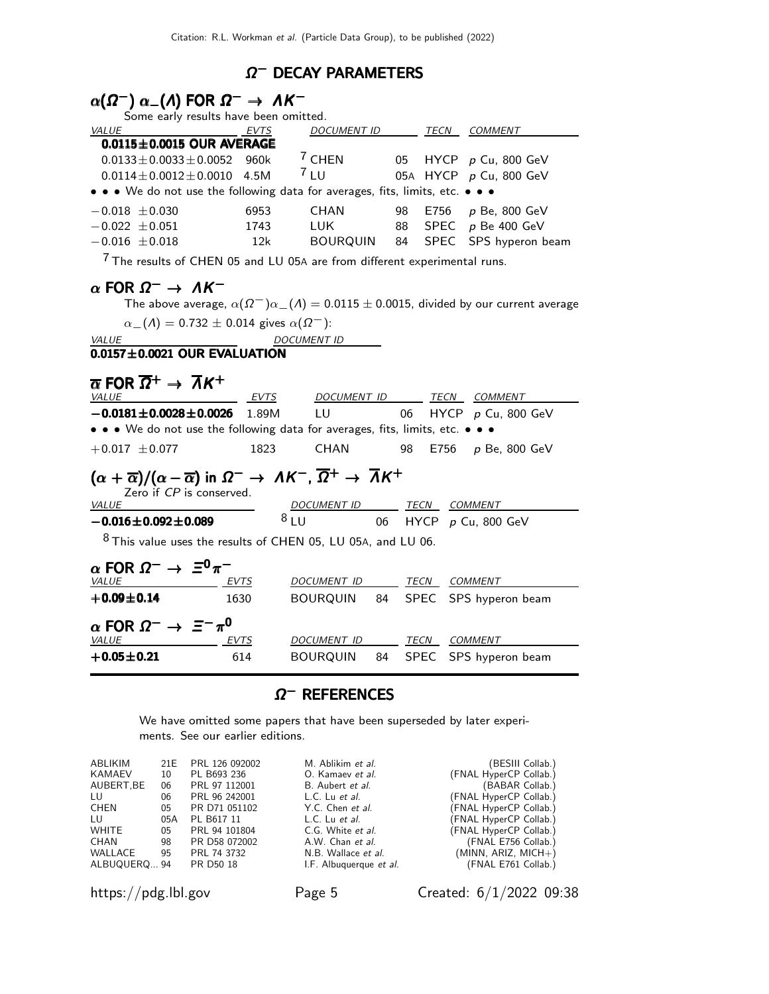## $\Omega^-$  DECAY PARAMETERS

# $\alpha(\Omega^-) \alpha_-(\Lambda)$  FOR  $\Omega^- \to \Lambda K^-$

| Some early results have been omitted.                                         |             |                    |  |      |                          |  |
|-------------------------------------------------------------------------------|-------------|--------------------|--|------|--------------------------|--|
| VALUE                                                                         | <b>EVTS</b> | <b>DOCUMENT ID</b> |  | TECN | <b>COMMENT</b>           |  |
| $0.0115 \pm 0.0015$ OUR AVERAGE                                               |             |                    |  |      |                          |  |
| $0.0133 \pm 0.0033 \pm 0.0052$ 960k                                           |             | $7$ CHEN           |  |      | 05 HYCP p Cu, 800 GeV    |  |
| $0.0114 + 0.0012 + 0.0010$ 4.5M                                               |             | 7LU                |  |      | 05A HYCP p Cu, 800 GeV   |  |
| • • • We do not use the following data for averages, fits, limits, etc. • • • |             |                    |  |      |                          |  |
| $-0.018 \pm 0.030$                                                            | 6953        | CHAN               |  |      | 98 E756 p Be, 800 GeV    |  |
| $-0.022 \pm 0.051$                                                            | 1743        | LUK                |  |      | 88 SPEC p Be 400 GeV     |  |
| $-0.016 \pm 0.018$                                                            | 12k         | BOURQUIN           |  |      | 84 SPEC SPS hyperon beam |  |
| The results of CHEN 05 and LU 05A are from different experimental runs.       |             |                    |  |      |                          |  |

# $\alpha$  FOR  $\Omega^- \rightarrow \Lambda K^-$

The above average,  $\alpha(\Omega^-)\alpha_-(\Lambda) = 0.0115 \pm 0.0015$ , divided by our current average  $\alpha_{-}(\Lambda) = 0.732 \pm 0.014$  gives  $\alpha(\Omega^{-})$ : VALUE DOCUMENT ID  $\overline{0.0157\pm0.0021}$  OUR EVALUATION  $\overline{\alpha}$  FOR  $\overline{\Omega}{}^+ \to \overline{\Lambda}{}K^+$ VALUE EVTS DOCUMENT ID TECN COMMENT −0.0181±0.0028±0.0026 1.89M LU 06 HYCP p Cu, 800 GeV • • • We do not use the following data for averages, fits, limits, etc. • • •  $+0.017 \pm 0.077$  1823 CHAN 98 E756 p Be, 800 GeV  $(\alpha + \overline{\alpha})/(\alpha - \overline{\alpha})$  in  $\Omega^- \to \Lambda K^-$ ,  $\overline{\Omega}^+ \to \overline{\Lambda} K^+$ Zero if CP is conserved. VALUE **DOCUMENT ID** TECN COMMENT  $-0.016 \pm 0.092 \pm 0.089$  8 LU 06 HYCP p Cu, 800 GeV  $8$  This value uses the results of CHEN 05, LU 05A, and LU 06.  $\alpha$  FOR  $\Omega^- \to \Xi^0 \pi^-$ VALUE EVTS DOCUMENT ID TECN COMMENT +0.09±0.14 1630 BOURQUIN 84 SPEC SPS hyperon beam

| $\alpha$ FOR $\Omega^- \rightarrow \ \Xi^-\pi^0$ |             |             |      |                                   |
|--------------------------------------------------|-------------|-------------|------|-----------------------------------|
| <b>VALUE</b>                                     | <b>EVTS</b> | DOCUMENT ID | TECN | COMMENT                           |
| $+0.05 \!\pm\! 0.21$                             | 614         |             |      | BOURQUIN 84 SPEC SPS hyperon beam |

## $\Omega^-$  References

We have omitted some papers that have been superseded by later experiments. See our earlier editions.

| ABLIKIM      | 21E | PRL 126 092002 | M. Ablikim et al.       | (BESIII Collab.)       |
|--------------|-----|----------------|-------------------------|------------------------|
| KAMAEV       | 10  | PL B693 236    | O. Kamaev et al.        | (FNAL HyperCP Collab.) |
| AUBERT.BE    | 06  | PRL 97 112001  | B. Aubert et al.        | (BABAR Collab.)        |
| LU           | 06  | PRL 96 242001  | L.C. Lu et al.          | (FNAL HyperCP Collab.) |
| CHEN         | 05  | PR D71 051102  | Y.C. Chen et al.        | (FNAL HyperCP Collab.) |
| LU.          | 05A | PL B617 11     | L.C. Lu et al.          | (FNAL HyperCP Collab.) |
| <b>WHITE</b> | 05  | PRL 94 101804  | C.G. White et al.       | (FNAL HyperCP Collab.) |
| CHAN         | 98  | PR D58 072002  | A.W. Chan et al.        | (FNAL E756 Collab.)    |
| WALLACE      | 95  | PRL 74 3732    | N.B. Wallace et al.     | $(MINN, ARIZ, MICH+)$  |
| ALBUQUERQ 94 |     | PR D50 18      | I.F. Albuquerque et al. | (FNAL E761 Collab.)    |
|              |     |                |                         |                        |